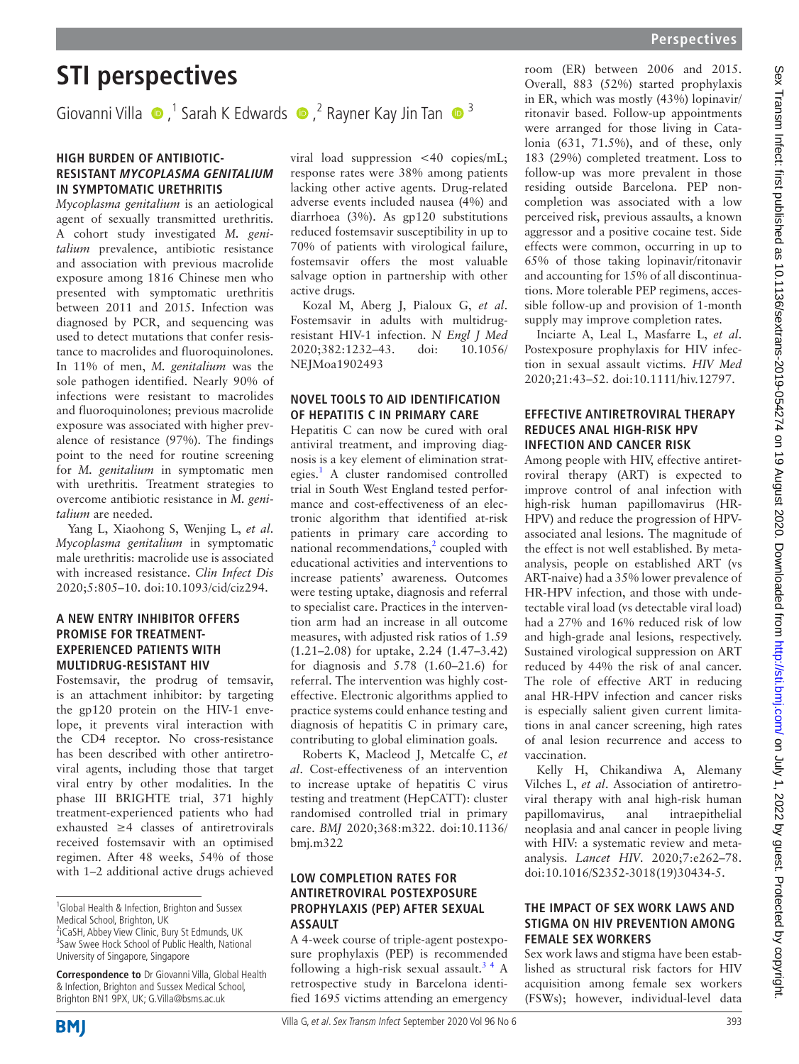# **STI perspectives**

GiovanniVilla  $\bullet$ ,<sup>1</sup> Sarah K Edwards  $\bullet$ ,<sup>2</sup> Rayner Kay Jin Tan  $\bullet$ <sup>3</sup>

#### **High burden of antibioticresistant Mycoplasma genitalium in symptomatic urethritis**

*Mycoplasma genitalium* is an aetiological agent of sexually transmitted urethritis. A cohort study investigated *M. genitalium* prevalence, antibiotic resistance and association with previous macrolide exposure among 1816 Chinese men who presented with symptomatic urethritis between 2011 and 2015. Infection was diagnosed by PCR, and sequencing was used to detect mutations that confer resistance to macrolides and fluoroquinolones. In 11% of men, *M. genitalium* was the sole pathogen identified. Nearly 90% of infections were resistant to macrolides and fluoroquinolones; previous macrolide exposure was associated with higher prevalence of resistance (97%). The findings point to the need for routine screening for *M. genitalium* in symptomatic men with urethritis. Treatment strategies to overcome antibiotic resistance in *M. genitalium* are needed.

Yang L, Xiaohong S, Wenjing L, *et al*. *Mycoplasma genitalium* in symptomatic male urethritis: macrolide use is associated with increased resistance. *Clin Infect Dis* 2020;5:805–10. [doi:10.1093/cid/ciz294.](https://doi.org/10.1093/cid/ciz294)

#### **A new entry inhibitor offers promise for treatmentexperienced patients with multidrug-resistant HIV**

Fostemsavir, the prodrug of temsavir, is an attachment inhibitor: by targeting the gp120 protein on the HIV-1 envelope, it prevents viral interaction with the CD4 receptor. No cross-resistance has been described with other antiretroviral agents, including those that target viral entry by other modalities. In the phase III BRIGHTE trial, 371 highly treatment-experienced patients who had exhausted ≥4 classes of antiretrovirals received fostemsavir with an optimised regimen. After 48 weeks, 54% of those with 1–2 additional active drugs achieved

**Correspondence to** Dr Giovanni Villa, Global Health & Infection, Brighton and Sussex Medical School, Brighton BN1 9PX, UK; G.Villa@bsms.ac.uk

viral load suppression <40 copies/mL; response rates were 38% among patients lacking other active agents. Drug-related adverse events included nausea (4%) and diarrhoea (3%). As gp120 substitutions reduced fostemsavir susceptibility in up to 70% of patients with virological failure, fostemsavir offers the most valuable salvage option in partnership with other active drugs.

Kozal M, Aberg J, Pialoux G, *et al*. Fostemsavir in adults with multidrugresistant HIV-1 infection. *N Engl J Med* 2020;382:1232–43. [doi: 10.1056/](https://doi.org/10.1056/NEJMoa1902493) [NEJMoa1902493](https://doi.org/10.1056/NEJMoa1902493)

#### **Novel tools to aid identification of hepatitis C in primary care**

Hepatitis C can now be cured with oral antiviral treatment, and improving diagnosis is a key element of elimination strat-egies.<sup>[1](#page-1-0)</sup> A cluster randomised controlled trial in South West England tested performance and cost-effectiveness of an electronic algorithm that identified at-risk patients in primary care according to national recommendations, $<sup>2</sup>$  $<sup>2</sup>$  $<sup>2</sup>$  coupled with</sup> educational activities and interventions to increase patients' awareness. Outcomes were testing uptake, diagnosis and referral to specialist care. Practices in the intervention arm had an increase in all outcome measures, with adjusted risk ratios of 1.59 (1.21–2.08) for uptake, 2.24 (1.47–3.42) for diagnosis and 5.78 (1.60–21.6) for referral. The intervention was highly costeffective. Electronic algorithms applied to practice systems could enhance testing and diagnosis of hepatitis C in primary care, contributing to global elimination goals.

Roberts K, Macleod J, Metcalfe C, *et al*. Cost-effectiveness of an intervention to increase uptake of hepatitis C virus testing and treatment (HepCATT): cluster randomised controlled trial in primary care. *BMJ* 2020;368:m322. [doi:10.1136/](https://doi:10.1136/bmj.m322) [bmj.m322](https://doi:10.1136/bmj.m322)

# **Low completion rates for antiretroviral postexposure prophylaxis (PEP) after sexual assault**

A 4-week course of triple-agent postexposure prophylaxis (PEP) is recommended following a high-risk sexual assault.<sup>34</sup> A retrospective study in Barcelona identified 1695 victims attending an emergency room (ER) between 2006 and 2015. Overall, 883 (52%) started prophylaxis in ER, which was mostly (43%) lopinavir/ ritonavir based. Follow-up appointments were arranged for those living in Catalonia (631, 71.5%), and of these, only 183 (29%) completed treatment. Loss to follow-up was more prevalent in those residing outside Barcelona. PEP noncompletion was associated with a low perceived risk, previous assaults, a known aggressor and a positive cocaine test. Side effects were common, occurring in up to 65% of those taking lopinavir/ritonavir and accounting for 15% of all discontinuations. More tolerable PEP regimens, accessible follow-up and provision of 1-month supply may improve completion rates.

Inciarte A, Leal L, Masfarre L, *et al*. Postexposure prophylaxis for HIV infection in sexual assault victims. *HIV Med* 2020;21:43–52. [doi:10.1111/hiv.12797.](https://doi.org/10.1111/hiv.12797)

# **Effective antiretroviral therapy reduces anal high-risk HPV infection and cancer risk**

Among people with HIV, effective antiretroviral therapy (ART) is expected to improve control of anal infection with high-risk human papillomavirus (HR-HPV) and reduce the progression of HPVassociated anal lesions. The magnitude of the effect is not well established. By metaanalysis, people on established ART (vs ART-naive) had a 35% lower prevalence of HR-HPV infection, and those with undetectable viral load (vs detectable viral load) had a 27% and 16% reduced risk of low and high-grade anal lesions, respectively. Sustained virological suppression on ART reduced by 44% the risk of anal cancer. The role of effective ART in reducing anal HR-HPV infection and cancer risks is especially salient given current limitations in anal cancer screening, high rates of anal lesion recurrence and access to vaccination.

Kelly H, Chikandiwa A, Alemany Vilches L, *et al*. Association of antiretroviral therapy with anal high-risk human papillomavirus, anal intraepithelial neoplasia and anal cancer in people living with HIV: a systematic review and metaanalysis. *Lancet HIV*. 2020;7:e262–78. [doi:10.1016/S2352-3018\(19\)30434-5](https://doi.org/10.1016/S2352-3018(19)30434-5).

#### **The impact of sex work laws and stigma on HIV prevention among female sex workers**

Sex work laws and stigma have been established as structural risk factors for HIV acquisition among female sex workers (FSWs); however, individual-level data



<sup>&</sup>lt;sup>1</sup>Global Health & Infection, Brighton and Sussex Medical School, Brighton, UK

<sup>&</sup>lt;sup>2</sup>iCaSH, Abbey View Clinic, Bury St Edmunds, UK <sup>3</sup> Saw Swee Hock School of Public Health, National University of Singapore, Singapore